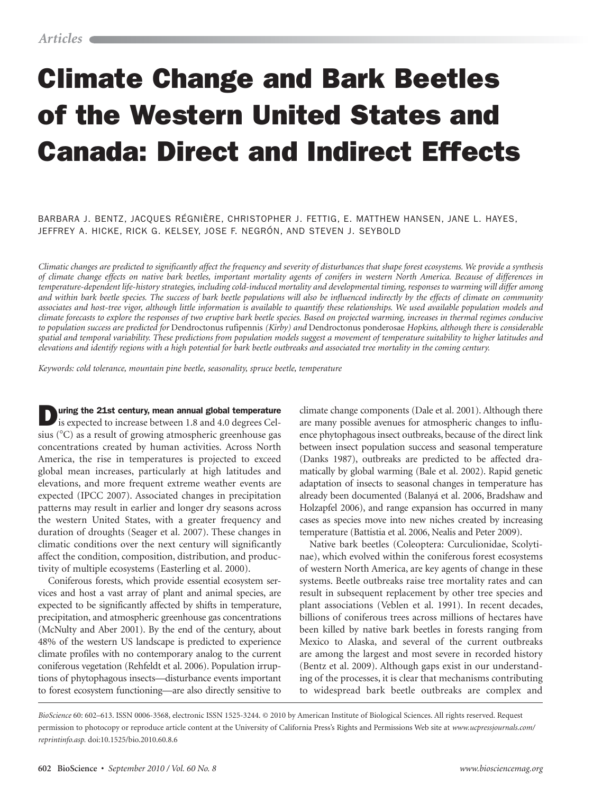# Climate Change and Bark Beetles of the Western United States and Canada: Direct and Indirect Effects

BARBARA J. BENTZ, JACQUES RÉGNIÈRE, CHRISTOPHER J. FETTIG, E. MATTHEW HANSEN, JANE L. HAYES, JEFFREY A. HICKE, RICK G. KELSEY, JOSE F. NEGRÓN, AND STEVEN J. SEYBOLD

*Climatic changes are predicted to significantly affect the frequency and severity of disturbances that shape forest ecosystems. We provide a synthesis of climate change effects on native bark beetles, important mortality agents of conifers in western North America. Because of differences in temperature-dependent life-history strategies, including cold-induced mortality and developmental timing, responses to warming will differ among and within bark beetle species. The success of bark beetle populations will also be influenced indirectly by the effects of climate on community associates and host-tree vigor, although little information is available to quantify these relationships. We used available population models and climate forecasts to explore the responses of two eruptive bark beetle species. Based on projected warming, increases in thermal regimes conducive to population success are predicted for* Dendroctonus rufipennis *(Kirby) and* Dendroctonus ponderosae *Hopkins, although there is considerable spatial and temporal variability. These predictions from population models suggest a movement of temperature suitability to higher latitudes and elevations and identify regions with a high potential for bark beetle outbreaks and associated tree mortality in the coming century.*

*Keywords: cold tolerance, mountain pine beetle, seasonality, spruce beetle, temperature*

**During the 21st century, mean annual global temperature** is expected to increase between 1.8 and 4.0 degrees Celsius  $(^{\circ}C)$  as a result of growing atmospheric greenhouse gas concentrations created by human activities. Across North America, the rise in temperatures is projected to exceed global mean increases, particularly at high latitudes and elevations, and more frequent extreme weather events are expected (IPCC 2007). Associated changes in precipitation patterns may result in earlier and longer dry seasons across the western United States, with a greater frequency and duration of droughts (Seager et al*.* 2007). These changes in climatic conditions over the next century will significantly affect the condition, composition, distribution, and productivity of multiple ecosystems (Easterling et al*.* 2000).

Coniferous forests, which provide essential ecosystem services and host a vast array of plant and animal species, are expected to be significantly affected by shifts in temperature, precipitation, and atmospheric greenhouse gas concentrations (McNulty and Aber 2001). By the end of the century, about 48% of the western US landscape is predicted to experience climate profiles with no contemporary analog to the current coniferous vegetation (Rehfeldt et al. 2006). Population irruptions of phytophagous insects—disturbance events important to forest ecosystem functioning—are also directly sensitive to

climate change components (Dale et al*.* 2001). Although there are many possible avenues for atmospheric changes to influence phytophagous insect outbreaks, because of the direct link between insect population success and seasonal temperature (Danks 1987), outbreaks are predicted to be affected dramatically by global warming (Bale et al*.* 2002). Rapid genetic adaptation of insects to seasonal changes in temperature has already been documented (Balanyá et al*.* 2006, Bradshaw and Holzapfel 2006), and range expansion has occurred in many cases as species move into new niches created by increasing temperature (Battistia et al. 2006, Nealis and Peter 2009).

Native bark beetles (Coleoptera: Curculionidae, Scolytinae), which evolved within the coniferous forest ecosystems of western North America, are key agents of change in these systems. Beetle outbreaks raise tree mortality rates and can result in subsequent replacement by other tree species and plant associations (Veblen et al. 1991). In recent decades, billions of coniferous trees across millions of hectares have been killed by native bark beetles in forests ranging from Mexico to Alaska, and several of the current outbreaks are among the largest and most severe in recorded history (Bentz et al. 2009). Although gaps exist in our understanding of the processes, it is clear that mechanisms contributing to widespread bark beetle outbreaks are complex and

*BioScience* 60: 602–613. ISSN 0006-3568, electronic ISSN 1525-3244. © 2010 by American Institute of Biological Sciences. All rights reserved. Request permission to photocopy or reproduce article content at the University of California Press's Rights and Permissions Web site at *www.ucpressjournals.com/ reprintinfo.asp.* doi:10.1525/bio.2010.60.8.6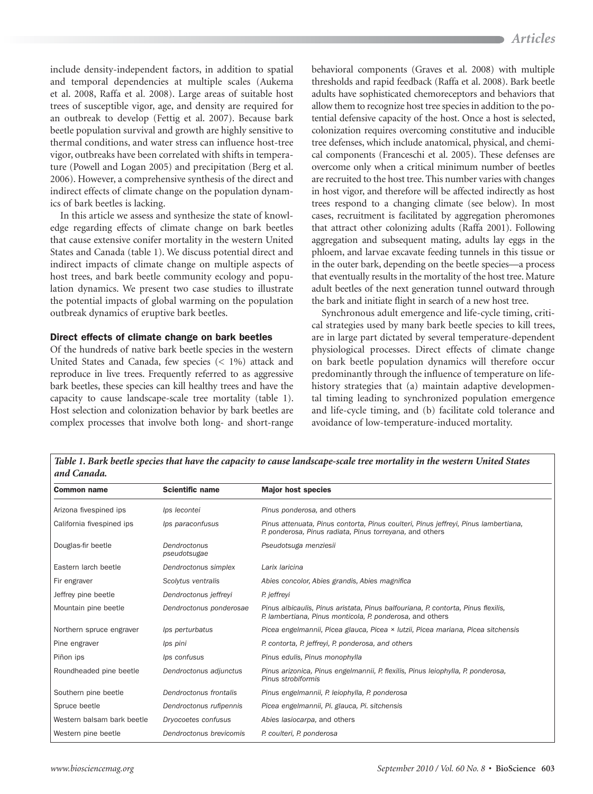include density-independent factors, in addition to spatial and temporal dependencies at multiple scales (Aukema et al. 2008, Raffa et al*.* 2008). Large areas of suitable host trees of susceptible vigor, age, and density are required for an outbreak to develop (Fettig et al. 2007). Because bark beetle population survival and growth are highly sensitive to thermal conditions, and water stress can influence host-tree vigor, outbreaks have been correlated with shifts in temperature (Powell and Logan 2005) and precipitation (Berg et al*.* 2006). However, a comprehensive synthesis of the direct and indirect effects of climate change on the population dynamics of bark beetles is lacking.

In this article we assess and synthesize the state of knowledge regarding effects of climate change on bark beetles that cause extensive conifer mortality in the western United States and Canada (table 1). We discuss potential direct and indirect impacts of climate change on multiple aspects of host trees, and bark beetle community ecology and population dynamics. We present two case studies to illustrate the potential impacts of global warming on the population outbreak dynamics of eruptive bark beetles.

### Direct effects of climate change on bark beetles

Of the hundreds of native bark beetle species in the western United States and Canada, few species (< 1%) attack and reproduce in live trees. Frequently referred to as aggressive bark beetles, these species can kill healthy trees and have the capacity to cause landscape-scale tree mortality (table 1). Host selection and colonization behavior by bark beetles are complex processes that involve both long- and short-range

behavioral components (Graves et al. 2008) with multiple thresholds and rapid feedback (Raffa et al. 2008). Bark beetle adults have sophisticated chemoreceptors and behaviors that allow them to recognize host tree species in addition to the potential defensive capacity of the host. Once a host is selected, colonization requires overcoming constitutive and inducible tree defenses, which include anatomical, physical, and chemical components (Franceschi et al. 2005). These defenses are overcome only when a critical minimum number of beetles are recruited to the host tree. This number varies with changes in host vigor, and therefore will be affected indirectly as host trees respond to a changing climate (see below). In most cases, recruitment is facilitated by aggregation pheromones that attract other colonizing adults (Raffa 2001). Following aggregation and subsequent mating, adults lay eggs in the phloem, and larvae excavate feeding tunnels in this tissue or in the outer bark, depending on the beetle species—a process that eventually results in the mortality of the host tree. Mature adult beetles of the next generation tunnel outward through the bark and initiate flight in search of a new host tree.

Synchronous adult emergence and life-cycle timing, critical strategies used by many bark beetle species to kill trees, are in large part dictated by several temperature-dependent physiological processes. Direct effects of climate change on bark beetle population dynamics will therefore occur predominantly through the influence of temperature on lifehistory strategies that (a) maintain adaptive developmental timing leading to synchronized population emergence and life-cycle timing, and (b) facilitate cold tolerance and avoidance of low-temperature-induced mortality.

*Table 1. Bark beetle species that have the capacity to cause landscape-scale tree mortality in the western United States and Canada.*

| <b>Common name</b>         | <b>Scientific name</b>       | <b>Major host species</b>                                                                                                                       |
|----------------------------|------------------------------|-------------------------------------------------------------------------------------------------------------------------------------------------|
| Arizona fivespined ips     | Ips lecontei                 | Pinus ponderosa, and others                                                                                                                     |
| California fivespined ips  | lps paraconfusus             | Pinus attenuata, Pinus contorta, Pinus coulteri, Pinus jeffreyi, Pinus lambertiana,<br>P. ponderosa, Pinus radiata, Pinus torreyana, and others |
| Douglas-fir beetle         | Dendroctonus<br>pseudotsugae | Pseudotsuga menziesii                                                                                                                           |
| Eastern larch beetle       | Dendroctonus simplex         | Larix laricina                                                                                                                                  |
| Fir engraver               | Scolytus ventralis           | Abies concolor, Abies grandis, Abies magnifica                                                                                                  |
| Jeffrey pine beetle        | Dendroctonus jeffreyi        | P. jeffreyi                                                                                                                                     |
| Mountain pine beetle       | Dendroctonus ponderosae      | Pinus albicaulis, Pinus aristata, Pinus balfouriana, P. contorta, Pinus flexilis,<br>P. lambertiana, Pinus monticola, P. ponderosa, and others  |
| Northern spruce engraver   | lps perturbatus              | Picea engelmannii, Picea glauca, Picea × Iutzii, Picea mariana, Picea sitchensis                                                                |
| Pine engraver              | lps pini                     | P. contorta, P. jeffreyi, P. ponderosa, and others                                                                                              |
| Piñon ips                  | lps confusus                 | Pinus edulis, Pinus monophylla                                                                                                                  |
| Roundheaded pine beetle    | Dendroctonus adjunctus       | Pinus arizonica, Pinus engelmannii, P. flexilis, Pinus leiophylla, P. ponderosa,<br>Pinus strobiformis                                          |
| Southern pine beetle       | Dendroctonus frontalis       | Pinus engelmannii, P. leiophylla, P. ponderosa                                                                                                  |
| Spruce beetle              | Dendroctonus rufipennis      | Picea engelmannii, Pi. glauca, Pi. sitchensis                                                                                                   |
| Western balsam bark beetle | Dryocoetes confusus          | Abies lasiocarpa, and others                                                                                                                    |
| Western pine beetle        | Dendroctonus brevicomis      | P. coulteri, P. ponderosa                                                                                                                       |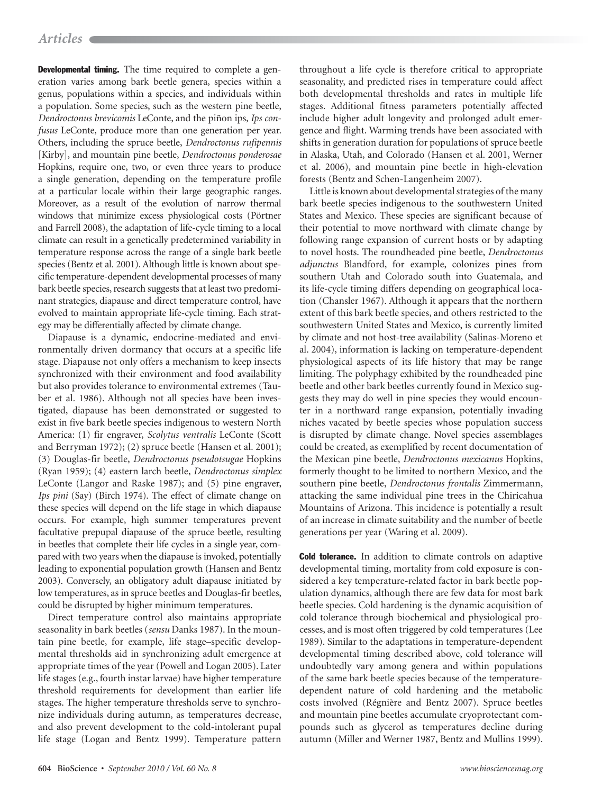# *Articles*

Developmental timing. The time required to complete a generation varies among bark beetle genera, species within a genus, populations within a species, and individuals within a population. Some species, such as the western pine beetle, *Dendroctonus brevicomis* LeConte, and the piñon ips, *Ips confusus* LeConte, produce more than one generation per year. Others, including the spruce beetle, *Dendroctonus rufipennis*  [Kirby], and mountain pine beetle, *Dendroctonus ponderosae* Hopkins, require one, two, or even three years to produce a single generation, depending on the temperature profile at a particular locale within their large geographic ranges. Moreover, as a result of the evolution of narrow thermal windows that minimize excess physiological costs (Pörtner and Farrell 2008), the adaptation of life-cycle timing to a local climate can result in a genetically predetermined variability in temperature response across the range of a single bark beetle species (Bentz et al*.* 2001). Although little is known about specific temperature-dependent developmental processes of many bark beetle species, research suggests that at least two predominant strategies, diapause and direct temperature control, have evolved to maintain appropriate life-cycle timing. Each strategy may be differentially affected by climate change.

Diapause is a dynamic, endocrine-mediated and environmentally driven dormancy that occurs at a specific life stage. Diapause not only offers a mechanism to keep insects synchronized with their environment and food availability but also provides tolerance to environmental extremes (Tauber et al*.* 1986). Although not all species have been investigated, diapause has been demonstrated or suggested to exist in five bark beetle species indigenous to western North America: (1) fir engraver, *Scolytus ventralis* LeConte (Scott and Berryman 1972); (2) spruce beetle (Hansen et al*.* 2001); (3) Douglas-fir beetle, *Dendroctonus pseudotsugae* Hopkins (Ryan 1959); (4) eastern larch beetle, *Dendroctonus simplex* LeConte (Langor and Raske 1987); and (5) pine engraver, *Ips pini* (Say) (Birch 1974). The effect of climate change on these species will depend on the life stage in which diapause occurs. For example, high summer temperatures prevent facultative prepupal diapause of the spruce beetle, resulting in beetles that complete their life cycles in a single year, compared with two years when the diapause is invoked, potentially leading to exponential population growth (Hansen and Bentz 2003). Conversely, an obligatory adult diapause initiated by low temperatures, as in spruce beetles and Douglas-fir beetles, could be disrupted by higher minimum temperatures.

Direct temperature control also maintains appropriate seasonality in bark beetles (*sensu* Danks 1987). In the mountain pine beetle, for example, life stage–specific developmental thresholds aid in synchronizing adult emergence at appropriate times of the year (Powell and Logan 2005). Later life stages (e.g., fourth instar larvae) have higher temperature threshold requirements for development than earlier life stages. The higher temperature thresholds serve to synchronize individuals during autumn, as temperatures decrease, and also prevent development to the cold-intolerant pupal life stage (Logan and Bentz 1999). Temperature pattern

throughout a life cycle is therefore critical to appropriate seasonality, and predicted rises in temperature could affect both developmental thresholds and rates in multiple life stages. Additional fitness parameters potentially affected include higher adult longevity and prolonged adult emergence and flight. Warming trends have been associated with shifts in generation duration for populations of spruce beetle in Alaska, Utah, and Colorado (Hansen et al. 2001, Werner et al. 2006), and mountain pine beetle in high-elevation forests (Bentz and Schen-Langenheim 2007).

Little is known about developmental strategies of the many bark beetle species indigenous to the southwestern United States and Mexico. These species are significant because of their potential to move northward with climate change by following range expansion of current hosts or by adapting to novel hosts. The roundheaded pine beetle, *Dendroctonus adjunctus* Blandford, for example, colonizes pines from southern Utah and Colorado south into Guatemala, and its life-cycle timing differs depending on geographical location (Chansler 1967). Although it appears that the northern extent of this bark beetle species, and others restricted to the southwestern United States and Mexico, is currently limited by climate and not host-tree availability (Salinas-Moreno et al. 2004), information is lacking on temperature-dependent physiological aspects of its life history that may be range limiting. The polyphagy exhibited by the roundheaded pine beetle and other bark beetles currently found in Mexico suggests they may do well in pine species they would encounter in a northward range expansion, potentially invading niches vacated by beetle species whose population success is disrupted by climate change. Novel species assemblages could be created, as exemplified by recent documentation of the Mexican pine beetle, *Dendroctonus mexicanus* Hopkins, formerly thought to be limited to northern Mexico, and the southern pine beetle, *Dendroctonus frontalis* Zimmermann, attacking the same individual pine trees in the Chiricahua Mountains of Arizona. This incidence is potentially a result of an increase in climate suitability and the number of beetle generations per year (Waring et al. 2009).

Cold tolerance. In addition to climate controls on adaptive developmental timing, mortality from cold exposure is considered a key temperature-related factor in bark beetle population dynamics, although there are few data for most bark beetle species. Cold hardening is the dynamic acquisition of cold tolerance through biochemical and physiological processes, and is most often triggered by cold temperatures (Lee 1989). Similar to the adaptations in temperature-dependent developmental timing described above, cold tolerance will undoubtedly vary among genera and within populations of the same bark beetle species because of the temperaturedependent nature of cold hardening and the metabolic costs involved (Régnière and Bentz 2007). Spruce beetles and mountain pine beetles accumulate cryoprotectant compounds such as glycerol as temperatures decline during autumn (Miller and Werner 1987, Bentz and Mullins 1999).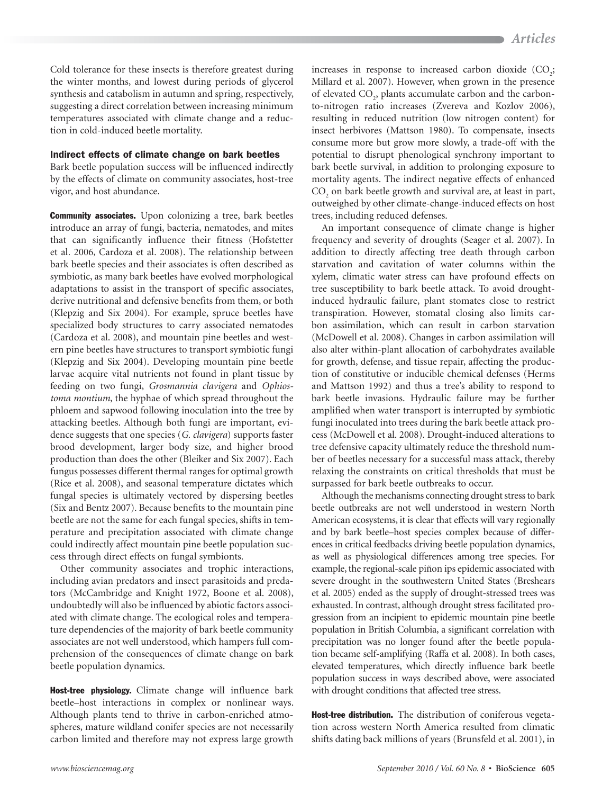Cold tolerance for these insects is therefore greatest during the winter months, and lowest during periods of glycerol synthesis and catabolism in autumn and spring, respectively, suggesting a direct correlation between increasing minimum temperatures associated with climate change and a reduction in cold-induced beetle mortality.

#### Indirect effects of climate change on bark beetles

Bark beetle population success will be influenced indirectly by the effects of climate on community associates, host-tree vigor, and host abundance.

**Community associates.** Upon colonizing a tree, bark beetles introduce an array of fungi, bacteria, nematodes, and mites that can significantly influence their fitness (Hofstetter et al*.* 2006, Cardoza et al*.* 2008). The relationship between bark beetle species and their associates is often described as symbiotic, as many bark beetles have evolved morphological adaptations to assist in the transport of specific associates, derive nutritional and defensive benefits from them, or both (Klepzig and Six 2004). For example, spruce beetles have specialized body structures to carry associated nematodes (Cardoza et al. 2008), and mountain pine beetles and western pine beetles have structures to transport symbiotic fungi (Klepzig and Six 2004). Developing mountain pine beetle larvae acquire vital nutrients not found in plant tissue by feeding on two fungi, *Grosmannia clavigera* and *Ophiostoma montium*, the hyphae of which spread throughout the phloem and sapwood following inoculation into the tree by attacking beetles. Although both fungi are important, evidence suggests that one species (*G. clavigera*) supports faster brood development, larger body size, and higher brood production than does the other (Bleiker and Six 2007). Each fungus possesses different thermal ranges for optimal growth (Rice et al. 2008), and seasonal temperature dictates which fungal species is ultimately vectored by dispersing beetles (Six and Bentz 2007). Because benefits to the mountain pine beetle are not the same for each fungal species, shifts in temperature and precipitation associated with climate change could indirectly affect mountain pine beetle population success through direct effects on fungal symbionts.

Other community associates and trophic interactions, including avian predators and insect parasitoids and predators (McCambridge and Knight 1972, Boone et al. 2008), undoubtedly will also be influenced by abiotic factors associated with climate change. The ecological roles and temperature dependencies of the majority of bark beetle community associates are not well understood, which hampers full comprehension of the consequences of climate change on bark beetle population dynamics.

Host-tree physiology. Climate change will influence bark beetle–host interactions in complex or nonlinear ways. Although plants tend to thrive in carbon-enriched atmospheres, mature wildland conifer species are not necessarily carbon limited and therefore may not express large growth

increases in response to increased carbon dioxide  $(CO_2;$ Millard et al. 2007). However, when grown in the presence of elevated  $CO_2$ , plants accumulate carbon and the carbonto-nitrogen ratio increases (Zvereva and Kozlov 2006), resulting in reduced nutrition (low nitrogen content) for insect herbivores (Mattson 1980). To compensate, insects consume more but grow more slowly, a trade-off with the potential to disrupt phenological synchrony important to bark beetle survival, in addition to prolonging exposure to mortality agents. The indirect negative effects of enhanced  $CO<sub>2</sub>$  on bark beetle growth and survival are, at least in part, outweighed by other climate-change-induced effects on host trees, including reduced defenses.

An important consequence of climate change is higher frequency and severity of droughts (Seager et al. 2007). In addition to directly affecting tree death through carbon starvation and cavitation of water columns within the xylem, climatic water stress can have profound effects on tree susceptibility to bark beetle attack. To avoid droughtinduced hydraulic failure, plant stomates close to restrict transpiration. However, stomatal closing also limits carbon assimilation, which can result in carbon starvation (McDowell et al. 2008). Changes in carbon assimilation will also alter within-plant allocation of carbohydrates available for growth, defense, and tissue repair, affecting the production of constitutive or inducible chemical defenses (Herms and Mattson 1992) and thus a tree's ability to respond to bark beetle invasions. Hydraulic failure may be further amplified when water transport is interrupted by symbiotic fungi inoculated into trees during the bark beetle attack process (McDowell et al. 2008). Drought-induced alterations to tree defensive capacity ultimately reduce the threshold number of beetles necessary for a successful mass attack, thereby relaxing the constraints on critical thresholds that must be surpassed for bark beetle outbreaks to occur.

Although the mechanisms connecting drought stress to bark beetle outbreaks are not well understood in western North American ecosystems, it is clear that effects will vary regionally and by bark beetle–host species complex because of differences in critical feedbacks driving beetle population dynamics, as well as physiological differences among tree species. For example, the regional-scale piñon ips epidemic associated with severe drought in the southwestern United States (Breshears et al. 2005) ended as the supply of drought-stressed trees was exhausted. In contrast, although drought stress facilitated progression from an incipient to epidemic mountain pine beetle population in British Columbia, a significant correlation with precipitation was no longer found after the beetle population became self-amplifying (Raffa et al. 2008). In both cases, elevated temperatures, which directly influence bark beetle population success in ways described above, were associated with drought conditions that affected tree stress.

Host-tree distribution. The distribution of coniferous vegetation across western North America resulted from climatic shifts dating back millions of years (Brunsfeld et al. 2001), in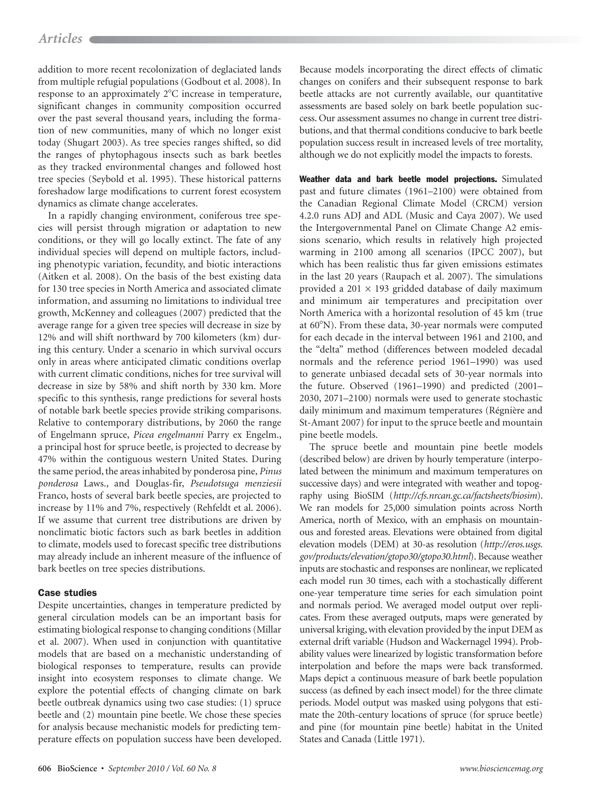addition to more recent recolonization of deglaciated lands from multiple refugial populations (Godbout et al. 2008). In response to an approximately  $2^{\circ}$ C increase in temperature, significant changes in community composition occurred over the past several thousand years, including the formation of new communities, many of which no longer exist today (Shugart 2003). As tree species ranges shifted, so did the ranges of phytophagous insects such as bark beetles as they tracked environmental changes and followed host tree species (Seybold et al. 1995). These historical patterns foreshadow large modifications to current forest ecosystem dynamics as climate change accelerates.

In a rapidly changing environment, coniferous tree species will persist through migration or adaptation to new conditions, or they will go locally extinct. The fate of any individual species will depend on multiple factors, including phenotypic variation, fecundity, and biotic interactions (Aitken et al. 2008). On the basis of the best existing data for 130 tree species in North America and associated climate information, and assuming no limitations to individual tree growth, McKenney and colleagues (2007) predicted that the average range for a given tree species will decrease in size by 12% and will shift northward by 700 kilometers (km) during this century. Under a scenario in which survival occurs only in areas where anticipated climatic conditions overlap with current climatic conditions, niches for tree survival will decrease in size by 58% and shift north by 330 km. More specific to this synthesis, range predictions for several hosts of notable bark beetle species provide striking comparisons. Relative to contemporary distributions, by 2060 the range of Engelmann spruce, *Picea engelmanni* Parry ex Engelm., a principal host for spruce beetle, is projected to decrease by 47% within the contiguous western United States. During the same period, the areas inhabited by ponderosa pine, *Pinus ponderosa* Laws., and Douglas-fir, *Pseudotsuga menziesii* Franco, hosts of several bark beetle species, are projected to increase by 11% and 7%, respectively (Rehfeldt et al. 2006). If we assume that current tree distributions are driven by nonclimatic biotic factors such as bark beetles in addition to climate, models used to forecast specific tree distributions may already include an inherent measure of the influence of bark beetles on tree species distributions.

## Case studies

Despite uncertainties, changes in temperature predicted by general circulation models can be an important basis for estimating biological response to changing conditions (Millar et al. 2007). When used in conjunction with quantitative models that are based on a mechanistic understanding of biological responses to temperature, results can provide insight into ecosystem responses to climate change. We explore the potential effects of changing climate on bark beetle outbreak dynamics using two case studies: (1) spruce beetle and (2) mountain pine beetle. We chose these species for analysis because mechanistic models for predicting temperature effects on population success have been developed.

Because models incorporating the direct effects of climatic changes on conifers and their subsequent response to bark beetle attacks are not currently available, our quantitative assessments are based solely on bark beetle population success. Our assessment assumes no change in current tree distributions, and that thermal conditions conducive to bark beetle population success result in increased levels of tree mortality, although we do not explicitly model the impacts to forests.

Weather data and bark beetle model projections. Simulated past and future climates (1961–2100) were obtained from the Canadian Regional Climate Model (CRCM) version 4.2.0 runs ADJ and ADL (Music and Caya 2007). We used the Intergovernmental Panel on Climate Change A2 emissions scenario, which results in relatively high projected warming in 2100 among all scenarios (IPCC 2007), but which has been realistic thus far given emissions estimates in the last 20 years (Raupach et al. 2007). The simulations provided a 201  $\times$  193 gridded database of daily maximum and minimum air temperatures and precipitation over North America with a horizontal resolution of 45 km (true at 60°N). From these data, 30-year normals were computed for each decade in the interval between 1961 and 2100, and the "delta" method (differences between modeled decadal normals and the reference period 1961–1990) was used to generate unbiased decadal sets of 30-year normals into the future. Observed (1961–1990) and predicted (2001– 2030, 2071–2100) normals were used to generate stochastic daily minimum and maximum temperatures (Régnière and St-Amant 2007) for input to the spruce beetle and mountain pine beetle models.

The spruce beetle and mountain pine beetle models (described below) are driven by hourly temperature (interpolated between the minimum and maximum temperatures on successive days) and were integrated with weather and topography using BioSIM (*http://cfs.nrcan.gc.ca/factsheets/biosim*). We ran models for 25,000 simulation points across North America, north of Mexico, with an emphasis on mountainous and forested areas. Elevations were obtained from digital elevation models (DEM) at 30-as resolution (*http://eros.usgs. gov/products/elevation/gtopo30/gtopo30.html*). Because weather inputs are stochastic and responses are nonlinear, we replicated each model run 30 times, each with a stochastically different one-year temperature time series for each simulation point and normals period. We averaged model output over replicates. From these averaged outputs, maps were generated by universal kriging, with elevation provided by the input DEM as external drift variable (Hudson and Wackernagel 1994). Probability values were linearized by logistic transformation before interpolation and before the maps were back transformed. Maps depict a continuous measure of bark beetle population success (as defined by each insect model) for the three climate periods. Model output was masked using polygons that estimate the 20th-century locations of spruce (for spruce beetle) and pine (for mountain pine beetle) habitat in the United States and Canada (Little 1971).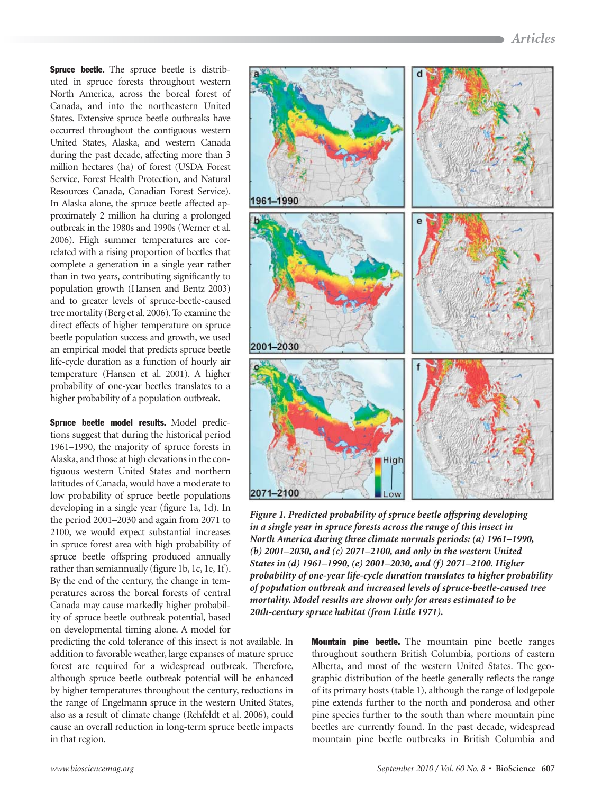**Spruce beetle.** The spruce beetle is distributed in spruce forests throughout western North America, across the boreal forest of Canada, and into the northeastern United States. Extensive spruce beetle outbreaks have occurred throughout the contiguous western United States, Alaska, and western Canada during the past decade, affecting more than 3 million hectares (ha) of forest (USDA Forest Service, Forest Health Protection, and Natural Resources Canada, Canadian Forest Service). In Alaska alone, the spruce beetle affected approximately 2 million ha during a prolonged outbreak in the 1980s and 1990s (Werner et al. 2006). High summer temperatures are correlated with a rising proportion of beetles that complete a generation in a single year rather than in two years, contributing significantly to population growth (Hansen and Bentz 2003) and to greater levels of spruce-beetle-caused tree mortality (Berg et al*.* 2006). To examine the direct effects of higher temperature on spruce beetle population success and growth, we used an empirical model that predicts spruce beetle life-cycle duration as a function of hourly air temperature (Hansen et al. 2001). A higher probability of one-year beetles translates to a higher probability of a population outbreak.

Spruce beetle model results. Model predictions suggest that during the historical period 1961–1990, the majority of spruce forests in Alaska, and those at high elevations in the contiguous western United States and northern latitudes of Canada, would have a moderate to low probability of spruce beetle populations developing in a single year (figure 1a, 1d). In the period 2001–2030 and again from 2071 to 2100, we would expect substantial increases in spruce forest area with high probability of spruce beetle offspring produced annually rather than semiannually (figure 1b, 1c, 1e, 1f). By the end of the century, the change in temperatures across the boreal forests of central Canada may cause markedly higher probability of spruce beetle outbreak potential, based on developmental timing alone. A model for

predicting the cold tolerance of this insect is not available. In addition to favorable weather, large expanses of mature spruce forest are required for a widespread outbreak. Therefore, although spruce beetle outbreak potential will be enhanced by higher temperatures throughout the century, reductions in the range of Engelmann spruce in the western United States, also as a result of climate change (Rehfeldt et al*.* 2006), could cause an overall reduction in long-term spruce beetle impacts in that region.



*Figure 1. Predicted probability of spruce beetle offspring developing in a single year in spruce forests across the range of this insect in North America during three climate normals periods: (a) 1961–1990, (b) 2001–2030, and (c) 2071–2100, and only in the western United States in (d) 1961–1990, (e) 2001–2030, and (f) 2071–2100. Higher probability of one-year life-cycle duration translates to higher probability of population outbreak and increased levels of spruce-beetle-caused tree mortality. Model results are shown only for areas estimated to be 20th-century spruce habitat (from Little 1971).*

Mountain pine beetle. The mountain pine beetle ranges throughout southern British Columbia, portions of eastern Alberta, and most of the western United States. The geographic distribution of the beetle generally reflects the range of its primary hosts (table 1), although the range of lodgepole pine extends further to the north and ponderosa and other pine species further to the south than where mountain pine beetles are currently found. In the past decade, widespread mountain pine beetle outbreaks in British Columbia and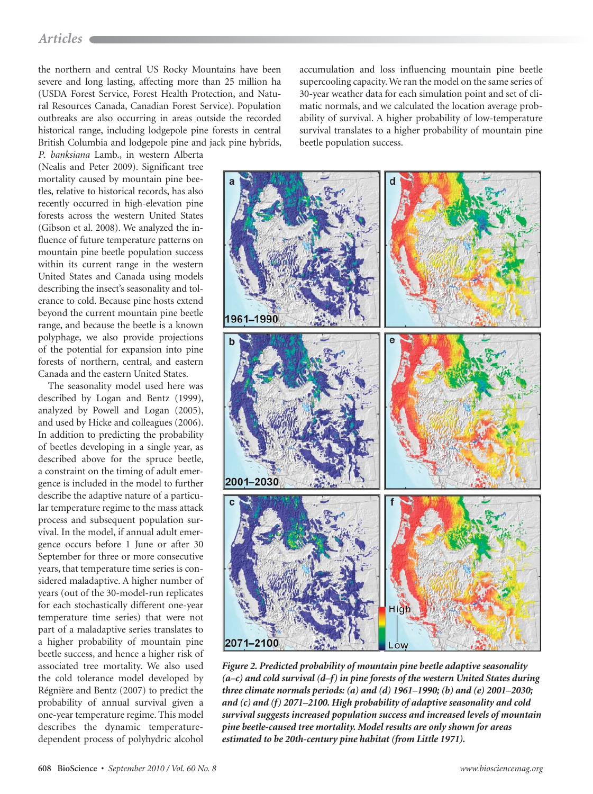# *Articles*

the northern and central US Rocky Mountains have been severe and long lasting, affecting more than 25 million ha (USDA Forest Service, Forest Health Protection, and Natural Resources Canada, Canadian Forest Service). Population outbreaks are also occurring in areas outside the recorded historical range, including lodgepole pine forests in central British Columbia and lodgepole pine and jack pine hybrids,

*P*. *banksiana* Lamb., in western Alberta (Nealis and Peter 2009). Significant tree mortality caused by mountain pine beetles, relative to historical records, has also recently occurred in high-elevation pine forests across the western United States (Gibson et al. 2008). We analyzed the influence of future temperature patterns on mountain pine beetle population success within its current range in the western United States and Canada using models describing the insect's seasonality and tolerance to cold. Because pine hosts extend beyond the current mountain pine beetle range, and because the beetle is a known polyphage, we also provide projections of the potential for expansion into pine forests of northern, central, and eastern Canada and the eastern United States.

The seasonality model used here was described by Logan and Bentz (1999), analyzed by Powell and Logan (2005), and used by Hicke and colleagues (2006). In addition to predicting the probability of beetles developing in a single year, as described above for the spruce beetle, a constraint on the timing of adult emergence is included in the model to further describe the adaptive nature of a particular temperature regime to the mass attack process and subsequent population survival. In the model, if annual adult emergence occurs before 1 June or after 30 September for three or more consecutive years, that temperature time series is considered maladaptive. A higher number of years (out of the 30-model-run replicates for each stochastically different one-year temperature time series) that were not part of a maladaptive series translates to a higher probability of mountain pine beetle success, and hence a higher risk of associated tree mortality. We also used the cold tolerance model developed by Régnière and Bentz (2007) to predict the probability of annual survival given a one-year temperature regime. This model describes the dynamic temperaturedependent process of polyhydric alcohol

accumulation and loss influencing mountain pine beetle supercooling capacity. We ran the model on the same series of 30-year weather data for each simulation point and set of climatic normals, and we calculated the location average probability of survival. A higher probability of low-temperature survival translates to a higher probability of mountain pine beetle population success.



*Figure 2. Predicted probability of mountain pine beetle adaptive seasonality (a–c) and cold survival (d–f) in pine forests of the western United States during three climate normals periods: (a) and (d) 1961–1990; (b) and (e) 2001–2030; and (c) and (f) 2071–2100. High probability of adaptive seasonality and cold survival suggests increased population success and increased levels of mountain pine beetle-caused tree mortality. Model results are only shown for areas estimated to be 20th-century pine habitat (from Little 1971).*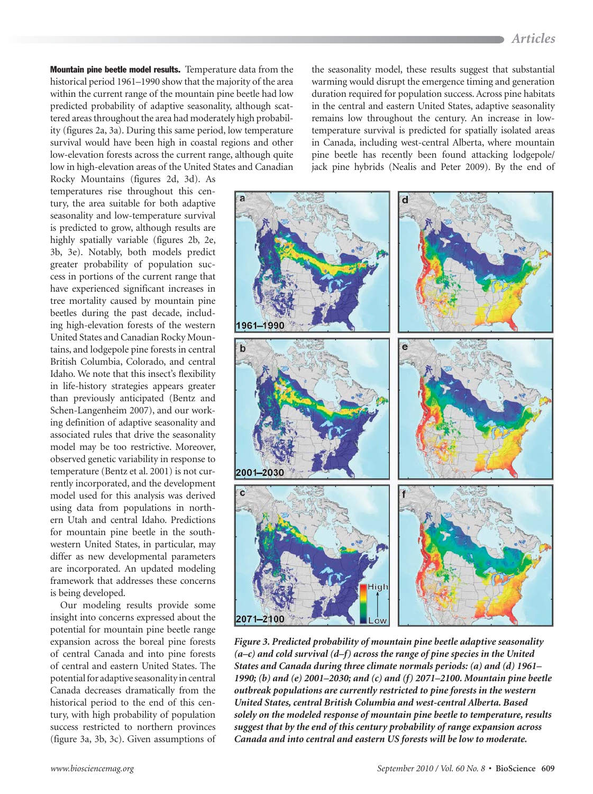Mountain pine beetle model results. Temperature data from the historical period 1961–1990 show that the majority of the area within the current range of the mountain pine beetle had low predicted probability of adaptive seasonality, although scattered areas throughout the area had moderately high probability (figures 2a, 3a). During this same period, low temperature survival would have been high in coastal regions and other low-elevation forests across the current range, although quite low in high-elevation areas of the United States and Canadian

Rocky Mountains (figures 2d, 3d). As temperatures rise throughout this century, the area suitable for both adaptive seasonality and low-temperature survival is predicted to grow, although results are highly spatially variable (figures 2b, 2e, 3b, 3e). Notably, both models predict greater probability of population success in portions of the current range that have experienced significant increases in tree mortality caused by mountain pine beetles during the past decade, including high-elevation forests of the western United States and Canadian Rocky Mountains, and lodgepole pine forests in central British Columbia, Colorado, and central Idaho. We note that this insect's flexibility in life-history strategies appears greater than previously anticipated (Bentz and Schen-Langenheim 2007), and our working definition of adaptive seasonality and associated rules that drive the seasonality model may be too restrictive. Moreover, observed genetic variability in response to temperature (Bentz et al. 2001) is not currently incorporated, and the development model used for this analysis was derived using data from populations in northern Utah and central Idaho. Predictions for mountain pine beetle in the southwestern United States, in particular, may differ as new developmental parameters are incorporated. An updated modeling framework that addresses these concerns is being developed.

Our modeling results provide some insight into concerns expressed about the potential for mountain pine beetle range expansion across the boreal pine forests of central Canada and into pine forests of central and eastern United States. The potential for adaptive seasonality in central Canada decreases dramatically from the historical period to the end of this century, with high probability of population success restricted to northern provinces (figure 3a, 3b, 3c). Given assumptions of

the seasonality model, these results suggest that substantial warming would disrupt the emergence timing and generation duration required for population success. Across pine habitats in the central and eastern United States, adaptive seasonality remains low throughout the century. An increase in lowtemperature survival is predicted for spatially isolated areas in Canada, including west-central Alberta, where mountain pine beetle has recently been found attacking lodgepole/ jack pine hybrids (Nealis and Peter 2009). By the end of



*Figure 3. Predicted probability of mountain pine beetle adaptive seasonality (a–c) and cold survival (d–f) across the range of pine species in the United States and Canada during three climate normals periods: (a) and (d) 1961– 1990; (b) and (e) 2001–2030; and (c) and (f) 2071–2100. Mountain pine beetle outbreak populations are currently restricted to pine forests in the western United States, central British Columbia and west-central Alberta. Based solely on the modeled response of mountain pine beetle to temperature, results suggest that by the end of this century probability of range expansion across Canada and into central and eastern US forests will be low to moderate.*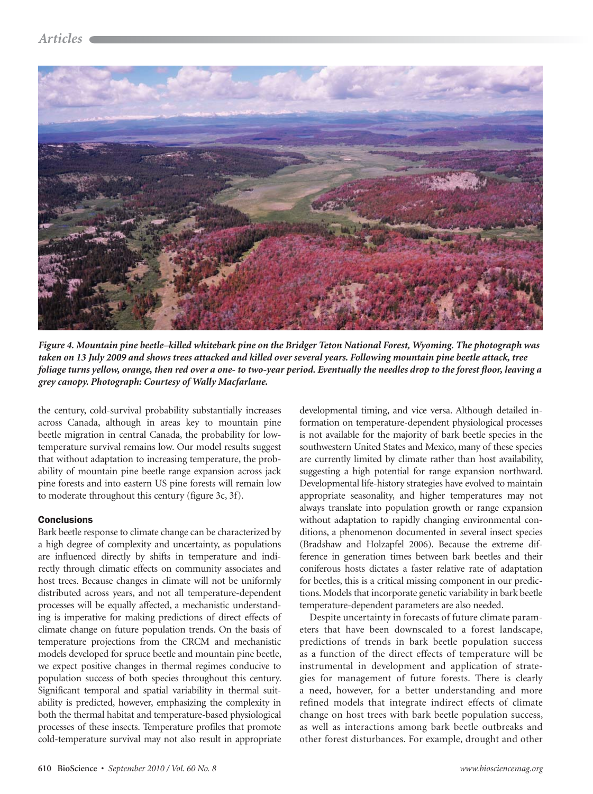

*Figure 4. Mountain pine beetle–killed whitebark pine on the Bridger Teton National Forest, Wyoming. The photograph was taken on 13 July 2009 and shows trees attacked and killed over several years. Following mountain pine beetle attack, tree foliage turns yellow, orange, then red over a one- to two-year period. Eventually the needles drop to the forest floor, leaving a grey canopy. Photograph: Courtesy of Wally Macfarlane.*

the century, cold-survival probability substantially increases across Canada, although in areas key to mountain pine beetle migration in central Canada, the probability for lowtemperature survival remains low. Our model results suggest that without adaptation to increasing temperature, the probability of mountain pine beetle range expansion across jack pine forests and into eastern US pine forests will remain low to moderate throughout this century (figure 3c, 3f).

## **Conclusions**

Bark beetle response to climate change can be characterized by a high degree of complexity and uncertainty, as populations are influenced directly by shifts in temperature and indirectly through climatic effects on community associates and host trees. Because changes in climate will not be uniformly distributed across years, and not all temperature-dependent processes will be equally affected, a mechanistic understanding is imperative for making predictions of direct effects of climate change on future population trends. On the basis of temperature projections from the CRCM and mechanistic models developed for spruce beetle and mountain pine beetle, we expect positive changes in thermal regimes conducive to population success of both species throughout this century. Significant temporal and spatial variability in thermal suitability is predicted, however, emphasizing the complexity in both the thermal habitat and temperature-based physiological processes of these insects. Temperature profiles that promote cold-temperature survival may not also result in appropriate

developmental timing, and vice versa. Although detailed information on temperature-dependent physiological processes is not available for the majority of bark beetle species in the southwestern United States and Mexico, many of these species are currently limited by climate rather than host availability, suggesting a high potential for range expansion northward. Developmental life-history strategies have evolved to maintain appropriate seasonality, and higher temperatures may not always translate into population growth or range expansion without adaptation to rapidly changing environmental conditions, a phenomenon documented in several insect species (Bradshaw and Holzapfel 2006). Because the extreme difference in generation times between bark beetles and their coniferous hosts dictates a faster relative rate of adaptation for beetles, this is a critical missing component in our predictions. Models that incorporate genetic variability in bark beetle temperature-dependent parameters are also needed.

Despite uncertainty in forecasts of future climate parameters that have been downscaled to a forest landscape, predictions of trends in bark beetle population success as a function of the direct effects of temperature will be instrumental in development and application of strategies for management of future forests. There is clearly a need, however, for a better understanding and more refined models that integrate indirect effects of climate change on host trees with bark beetle population success, as well as interactions among bark beetle outbreaks and other forest disturbances. For example, drought and other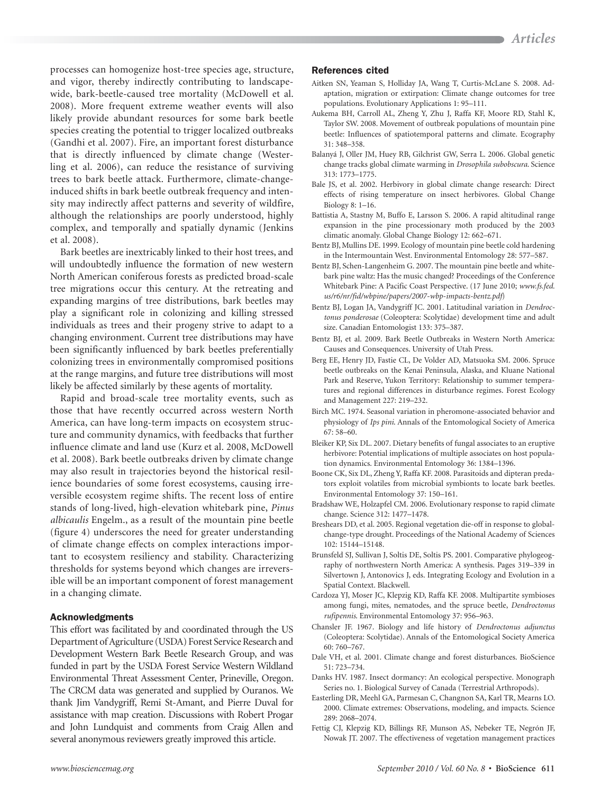processes can homogenize host-tree species age, structure, and vigor, thereby indirectly contributing to landscapewide, bark-beetle-caused tree mortality (McDowell et al. 2008). More frequent extreme weather events will also likely provide abundant resources for some bark beetle species creating the potential to trigger localized outbreaks (Gandhi et al. 2007). Fire, an important forest disturbance that is directly influenced by climate change (Westerling et al. 2006), can reduce the resistance of surviving trees to bark beetle attack. Furthermore, climate-changeinduced shifts in bark beetle outbreak frequency and intensity may indirectly affect patterns and severity of wildfire, although the relationships are poorly understood, highly complex, and temporally and spatially dynamic (Jenkins et al. 2008).

Bark beetles are inextricably linked to their host trees, and will undoubtedly influence the formation of new western North American coniferous forests as predicted broad-scale tree migrations occur this century. At the retreating and expanding margins of tree distributions, bark beetles may play a significant role in colonizing and killing stressed individuals as trees and their progeny strive to adapt to a changing environment. Current tree distributions may have been significantly influenced by bark beetles preferentially colonizing trees in environmentally compromised positions at the range margins, and future tree distributions will most likely be affected similarly by these agents of mortality.

Rapid and broad-scale tree mortality events, such as those that have recently occurred across western North America, can have long-term impacts on ecosystem structure and community dynamics, with feedbacks that further influence climate and land use (Kurz et al*.* 2008, McDowell et al. 2008). Bark beetle outbreaks driven by climate change may also result in trajectories beyond the historical resilience boundaries of some forest ecosystems, causing irreversible ecosystem regime shifts. The recent loss of entire stands of long-lived, high-elevation whitebark pine, *Pinus albicaulis* Engelm., as a result of the mountain pine beetle (figure 4) underscores the need for greater understanding of climate change effects on complex interactions important to ecosystem resiliency and stability. Characterizing thresholds for systems beyond which changes are irreversible will be an important component of forest management in a changing climate.

#### Acknowledgments

This effort was facilitated by and coordinated through the US Department of Agriculture (USDA) Forest Service Research and Development Western Bark Beetle Research Group, and was funded in part by the USDA Forest Service Western Wildland Environmental Threat Assessment Center, Prineville, Oregon. The CRCM data was generated and supplied by Ouranos. We thank Jim Vandygriff, Remi St-Amant, and Pierre Duval for assistance with map creation. Discussions with Robert Progar and John Lundquist and comments from Craig Allen and several anonymous reviewers greatly improved this article.

#### References cited

- Aitken SN, Yeaman S, Holliday JA, Wang T, Curtis-McLane S. 2008. Adaptation, migration or extirpation: Climate change outcomes for tree populations. Evolutionary Applications 1: 95–111.
- Aukema BH, Carroll AL, Zheng Y, Zhu J, Raffa KF, Moore RD, Stahl K, Taylor SW. 2008. Movement of outbreak populations of mountain pine beetle: Influences of spatiotemporal patterns and climate. Ecography 31: 348–358.
- Balanyá J, Oller JM, Huey RB, Gilchrist GW, Serra L. 2006. Global genetic change tracks global climate warming in *Drosophila subobscura*. Science 313: 1773–1775.
- Bale JS, et al. 2002. Herbivory in global climate change research: Direct effects of rising temperature on insect herbivores. Global Change Biology 8: 1–16.
- Battistia A, Stastny M, Buffo E, Larsson S. 2006. A rapid altitudinal range expansion in the pine processionary moth produced by the 2003 climatic anomaly. Global Change Biology 12: 662–671.
- Bentz BJ, Mullins DE. 1999. Ecology of mountain pine beetle cold hardening in the Intermountain West. Environmental Entomology 28: 577–587.
- Bentz BJ, Schen-Langenheim G. 2007. The mountain pine beetle and whitebark pine waltz: Has the music changed? Proceedings of the Conference Whitebark Pine: A Pacific Coast Perspective. (17 June 2010; *www.fs.fed. us/r6/nr/fid/wbpine/papers/2007-wbp-impacts-bentz.pdf*)
- Bentz BJ, Logan JA, Vandygriff JC. 2001. Latitudinal variation in *Dendroctonus ponderosae* (Coleoptera: Scolytidae) development time and adult size. Canadian Entomologist 133: 375–387.
- Bentz BJ, et al. 2009. Bark Beetle Outbreaks in Western North America: Causes and Consequences. University of Utah Press.
- Berg EE, Henry JD, Fastie CL, De Volder AD, Matsuoka SM. 2006. Spruce beetle outbreaks on the Kenai Peninsula, Alaska, and Kluane National Park and Reserve, Yukon Territory: Relationship to summer temperatures and regional differences in disturbance regimes. Forest Ecology and Management 227: 219–232.
- Birch MC. 1974. Seasonal variation in pheromone-associated behavior and physiology of *Ips pini*. Annals of the Entomological Society of America 67: 58–60.
- Bleiker KP, Six DL. 2007. Dietary benefits of fungal associates to an eruptive herbivore: Potential implications of multiple associates on host population dynamics. Environmental Entomology 36: 1384–1396.
- Boone CK, Six DL, Zheng Y, Raffa KF. 2008. Parasitoids and dipteran predators exploit volatiles from microbial symbionts to locate bark beetles. Environmental Entomology 37: 150–161.
- Bradshaw WE, Holzapfel CM. 2006. Evolutionary response to rapid climate change. Science 312: 1477–1478.
- Breshears DD, et al. 2005. Regional vegetation die-off in response to globalchange-type drought. Proceedings of the National Academy of Sciences 102: 15144–15148.
- Brunsfeld SJ, Sullivan J, Soltis DE, Soltis PS. 2001. Comparative phylogeography of northwestern North America: A synthesis. Pages 319–339 in Silvertown J, Antonovics J, eds. Integrating Ecology and Evolution in a Spatial Context. Blackwell.
- Cardoza YJ, Moser JC, Klepzig KD, Raffa KF. 2008. Multipartite symbioses among fungi, mites, nematodes, and the spruce beetle, *Dendroctonus rufipennis*. Environmental Entomology 37: 956–963.
- Chansler JF. 1967. Biology and life history of *Dendroctonus adjunctus* (Coleoptera: Scolytidae). Annals of the Entomological Society America 60: 760–767.
- Dale VH, et al. 2001. Climate change and forest disturbances. BioScience 51: 723–734.
- Danks HV. 1987. Insect dormancy: An ecological perspective. Monograph Series no. 1. Biological Survey of Canada (Terrestrial Arthropods).
- Easterling DR, Meehl GA, Parmesan C, Changnon SA, Karl TR, Mearns LO. 2000. Climate extremes: Observations, modeling, and impacts. Science 289: 2068–2074.
- Fettig CJ, Klepzig KD, Billings RF, Munson AS, Nebeker TE, Negrón JF, Nowak JT. 2007. The effectiveness of vegetation management practices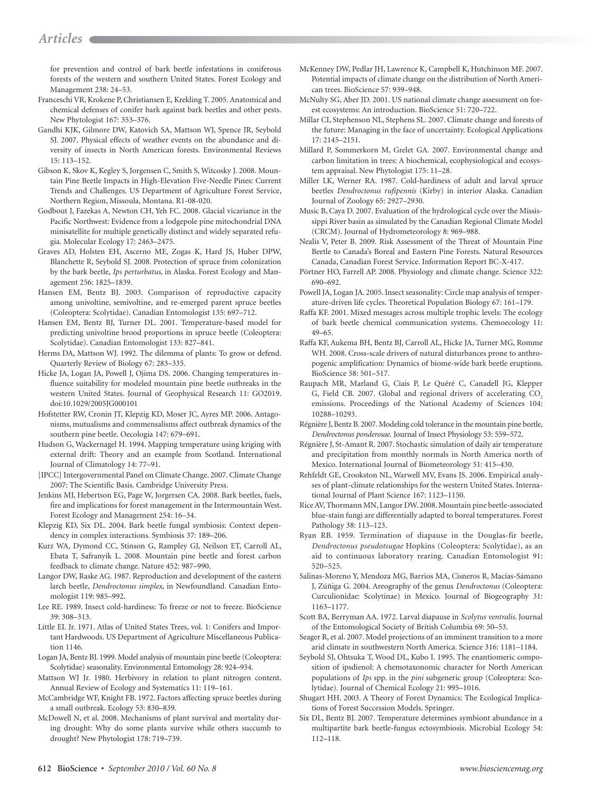for prevention and control of bark beetle infestations in coniferous forests of the western and southern United States. Forest Ecology and Management 238: 24–53.

- Franceschi VR, Krokene P, Christiansen E, Krekling T. 2005. Anatomical and chemical defenses of conifer bark against bark beetles and other pests. New Phytologist 167: 353–376.
- Gandhi KJK, Gilmore DW, Katovich SA, Mattson WJ, Spence JR, Seybold SJ. 2007. Physical effects of weather events on the abundance and diversity of insects in North American forests. Environmental Reviews 15: 113–152.
- Gibson K, Skov K, Kegley S, Jorgensen C, Smith S, Witcosky J. 2008. Mountain Pine Beetle Impacts in High-Elevation Five-Needle Pines: Current Trends and Challenges. US Department of Agriculture Forest Service, Northern Region, Missoula, Montana. R1-08-020.
- Godbout J, Fazekas A, Newton CH, Yeh FC. 2008. Glacial vicariance in the Pacific Northwest: Evidence from a lodgepole pine mitochondrial DNA minisatellite for multiple genetically distinct and widely separated refugia. Molecular Ecology 17: 2463–2475.
- Graves AD, Holsten EH, Ascerno ME, Zogas K, Hard JS, Huber DPW, Blanchette R, Seybold SJ. 2008. Protection of spruce from colonization by the bark beetle, *Ips perturbatus*, in Alaska. Forest Ecology and Management 256: 1825–1839.
- Hansen EM, Bentz BJ. 2003. Comparison of reproductive capacity among univoltine, semivoltine, and re-emerged parent spruce beetles (Coleoptera: Scolytidae). Canadian Entomologist 135: 697–712.
- Hansen EM, Bentz BJ, Turner DL. 2001. Temperature-based model for predicting univoltine brood proportions in spruce beetle (Coleoptera: Scolytidae). Canadian Entomologist 133: 827–841.
- Herms DA, Mattson WJ. 1992. The dilemma of plants: To grow or defend. Quarterly Review of Biology 67: 283–335.
- Hicke JA, Logan JA, Powell J, Ojima DS. 2006. Changing temperatures influence suitability for modeled mountain pine beetle outbreaks in the western United States. Journal of Geophysical Research 11: GO2019. doi:10.1029/2005JG000101
- Hofstetter RW, Cronin JT, Klepzig KD, Moser JC, Ayres MP. 2006. Antagonisms, mutualisms and commensalisms affect outbreak dynamics of the southern pine beetle. Oecologia 147: 679–691.
- Hudson G, Wackernagel H. 1994. Mapping temperature using kriging with external drift: Theory and an example from Scotland. International Journal of Climatology 14: 77–91.
- [IPCC] Intergovernmental Panel on Climate Change. 2007. Climate Change 2007: The Scientific Basis. Cambridge University Press.
- Jenkins MJ, Hebertson EG, Page W, Jorgersen CA. 2008. Bark beetles, fuels, fire and implications for forest management in the Intermountain West. Forest Ecology and Management 254: 16–34.
- Klepzig KD, Six DL. 2004. Bark beetle fungal symbiosis: Context dependency in complex interactions. Symbiosis 37: 189–206.
- Kurz WA, Dymond CC, Stinson G, Rampley GJ, Neilson ET, Carroll AL, Ebata T, Safranyik L. 2008. Mountain pine beetle and forest carbon feedback to climate change. Nature 452: 987–990.
- Langor DW, Raske AG. 1987. Reproduction and development of the eastern larch beetle, *Dendroctonus simplex*, in Newfoundland. Canadian Entomologist 119: 985–992.
- Lee RE. 1989. Insect cold-hardiness: To freeze or not to freeze. BioScience 39: 308–313.
- Little EL Jr. 1971. Atlas of United States Trees, vol. 1: Conifers and Important Hardwoods. US Department of Agriculture Miscellaneous Publication 1146.
- Logan JA, Bentz BJ. 1999. Model analysis of mountain pine beetle (Coleoptera: Scolytidae) seasonality. Environmental Entomology 28: 924–934.
- Mattson WJ Jr. 1980. Herbivory in relation to plant nitrogen content. Annual Review of Ecology and Systematics 11: 119–161.
- McCambridge WF, Knight FB. 1972. Factors affecting spruce beetles during a small outbreak. Ecology 53: 830–839.
- McDowell N, et al. 2008. Mechanisms of plant survival and mortality during drought: Why do some plants survive while others succumb to drought? New Phytologist 178: 719–739.
- McKenney DW, Pedlar JH, Lawrence K, Campbell K, Hutchinson MF. 2007. Potential impacts of climate change on the distribution of North American trees. BioScience 57: 939–948.
- McNulty SG, Aber JD. 2001. US national climate change assessment on forest ecosystems: An introduction. BioScience 51: 720–722.
- Millar CI, Stephenson NL, Stephens SL. 2007. Climate change and forests of the future: Managing in the face of uncertainty. Ecological Applications 17: 2145–2151.
- Millard P, Sommerkorn M, Grelet GA. 2007. Environmental change and carbon limitation in trees: A biochemical, ecophysiological and ecosystem appraisal. New Phytologist 175: 11–28.
- Miller LK, Werner RA. 1987. Cold-hardiness of adult and larval spruce beetles *Dendroctonus rufipennis* (Kirby) in interior Alaska. Canadian Journal of Zoology 65: 2927–2930.
- Music B, Caya D. 2007. Evaluation of the hydrological cycle over the Mississippi River basin as simulated by the Canadian Regional Climate Model (CRCM). Journal of Hydrometeorology 8: 969–988.
- Nealis V, Peter B. 2009. Risk Assessment of the Threat of Mountain Pine Beetle to Canada's Boreal and Eastern Pine Forests. Natural Resources Canada, Canadian Forest Service. Information Report BC-X-417.
- Pörtner HO, Farrell AP. 2008. Physiology and climate change. Science 322: 690–692.
- Powell JA, Logan JA. 2005. Insect seasonality: Circle map analysis of temperature-driven life cycles. Theoretical Population Biology 67: 161–179.
- Raffa KF. 2001. Mixed messages across multiple trophic levels: The ecology of bark beetle chemical communication systems. Chemoecology 11: 49–65.
- Raffa KF, Aukema BH, Bentz BJ, Carroll AL, Hicke JA, Turner MG, Romme WH. 2008. Cross-scale drivers of natural disturbances prone to anthropogenic amplification: Dynamics of biome-wide bark beetle eruptions. BioScience 58: 501–517.
- Raupach MR, Marland G, Ciais P, Le Quéré C, Canadell JG, Klepper G, Field CB. 2007. Global and regional drivers of accelerating CO<sub>2</sub> emissions. Proceedings of the National Academy of Sciences 104: 10288–10293.
- Régnière J, Bentz B. 2007. Modeling cold tolerance in the mountain pine beetle, *Dendroctonus ponderosae.* Journal of Insect Physiology 53: 559–572.
- Régnière J, St-Amant R. 2007. Stochastic simulation of daily air temperature and precipitation from monthly normals in North America north of Mexico. International Journal of Biometeorology 51: 415–430.
- Rehfeldt GE, Crookston NL, Warwell MV, Evans JS. 2006. Empirical analyses of plant-climate relationships for the western United States. International Journal of Plant Science 167: 1123–1150.
- Rice AV, Thormann MN, Langor DW. 2008. Mountain pine beetle-associated blue-stain fungi are differentially adapted to boreal temperatures. Forest Pathology 38: 113–123.
- Ryan RB. 1959. Termination of diapause in the Douglas-fir beetle, *Dendroctonus pseudotsugae* Hopkins (Coleoptera: Scolytidae), as an aid to continuous laboratory rearing. Canadian Entomologist 91: 520–525.
- Salinas-Moreno Y, Mendoza MG, Barrios MA, Cisneros R, Macías-Sámano J, Zúñiga G. 2004. Areography of the genus *Dendroctonus* (Coleoptera: Curculionidae: Scolytinae) in Mexico. Journal of Biogeography 31: 1163–1177.
- Scott BA, Berryman AA. 1972. Larval diapause in *Scolytus ventralis*. Journal of the Entomological Society of British Columbia 69: 50–53.
- Seager R, et al. 2007. Model projections of an imminent transition to a more arid climate in southwestern North America. Science 316: 1181–1184.
- Seybold SJ, Ohtsuka T, Wood DL, Kubo I. 1995. The enantiomeric composition of ipsdienol: A chemotaxonomic character for North American populations of *Ips* spp. in the *pini* subgeneric group (Coleoptera: Scolytidae). Journal of Chemical Ecology 21: 995–1016.
- Shugart HH. 2003. A Theory of Forest Dynamics: The Ecological Implications of Forest Succession Models. Springer.
- Six DL, Bentz BJ. 2007. Temperature determines symbiont abundance in a multipartite bark beetle-fungus ectosymbiosis. Microbial Ecology 54: 112–118.